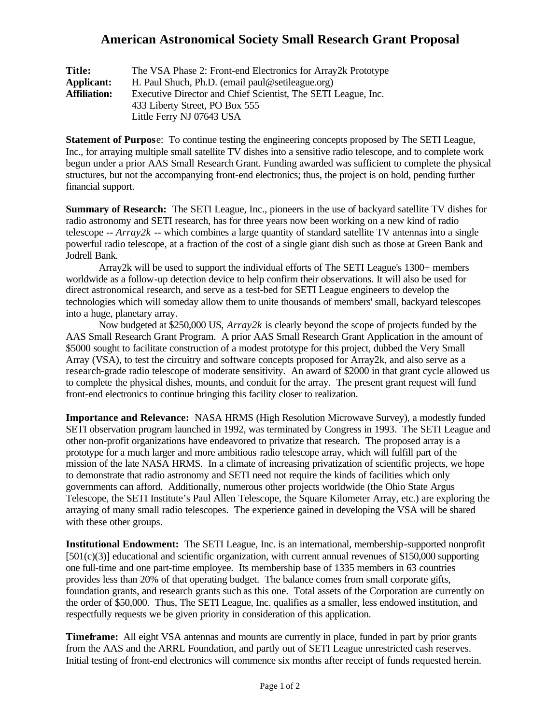## **American Astronomical Society Small Research Grant Proposal**

| <b>Title:</b>       | The VSA Phase 2: Front-end Electronics for Array 2k Prototype |
|---------------------|---------------------------------------------------------------|
| <b>Applicant:</b>   | H. Paul Shuch, Ph.D. (email paul@setileague.org)              |
| <b>Affiliation:</b> | Executive Director and Chief Scientist, The SETI League, Inc. |
|                     | 433 Liberty Street, PO Box 555                                |
|                     | Little Ferry NJ 07643 USA                                     |

**Statement of Purpos**e: To continue testing the engineering concepts proposed by The SETI League, Inc., for arraying multiple small satellite TV dishes into a sensitive radio telescope, and to complete work begun under a prior AAS Small Research Grant. Funding awarded was sufficient to complete the physical structures, but not the accompanying front-end electronics; thus, the project is on hold, pending further financial support.

**Summary of Research:** The SETI League, Inc., pioneers in the use of backyard satellite TV dishes for radio astronomy and SETI research, has for three years now been working on a new kind of radio telescope  $-Arr\alpha y2k$  -- which combines a large quantity of standard satellite TV antennas into a single powerful radio telescope, at a fraction of the cost of a single giant dish such as those at Green Bank and Jodrell Bank.

Array2k will be used to support the individual efforts of The SETI League's 1300+ members worldwide as a follow-up detection device to help confirm their observations. It will also be used for direct astronomical research, and serve as a test-bed for SETI League engineers to develop the technologies which will someday allow them to unite thousands of members' small, backyard telescopes into a huge, planetary array.

Now budgeted at \$250,000 US, *Array2k* is clearly beyond the scope of projects funded by the AAS Small Research Grant Program. A prior AAS Small Research Grant Application in the amount of \$5000 sought to facilitate construction of a modest prototype for this project, dubbed the Very Small Array (VSA), to test the circuitry and software concepts proposed for Array2k, and also serve as a research-grade radio telescope of moderate sensitivity. An award of \$2000 in that grant cycle allowed us to complete the physical dishes, mounts, and conduit for the array. The present grant request will fund front-end electronics to continue bringing this facility closer to realization.

**Importance and Relevance:** NASA HRMS (High Resolution Microwave Survey), a modestly funded SETI observation program launched in 1992, was terminated by Congress in 1993. The SETI League and other non-profit organizations have endeavored to privatize that research. The proposed array is a prototype for a much larger and more ambitious radio telescope array, which will fulfill part of the mission of the late NASA HRMS. In a climate of increasing privatization of scientific projects, we hope to demonstrate that radio astronomy and SETI need not require the kinds of facilities which only governments can afford. Additionally, numerous other projects worldwide (the Ohio State Argus Telescope, the SETI Institute's Paul Allen Telescope, the Square Kilometer Array, etc.) are exploring the arraying of many small radio telescopes. The experience gained in developing the VSA will be shared with these other groups.

**Institutional Endowment:** The SETI League, Inc. is an international, membership-supported nonprofit  $[501(c)(3)]$  educational and scientific organization, with current annual revenues of \$150,000 supporting one full-time and one part-time employee. Its membership base of 1335 members in 63 countries provides less than 20% of that operating budget. The balance comes from small corporate gifts, foundation grants, and research grants such as this one. Total assets of the Corporation are currently on the order of \$50,000. Thus, The SETI League, Inc. qualifies as a smaller, less endowed institution, and respectfully requests we be given priority in consideration of this application.

**Timeframe:** All eight VSA antennas and mounts are currently in place, funded in part by prior grants from the AAS and the ARRL Foundation, and partly out of SETI League unrestricted cash reserves. Initial testing of front-end electronics will commence six months after receipt of funds requested herein.